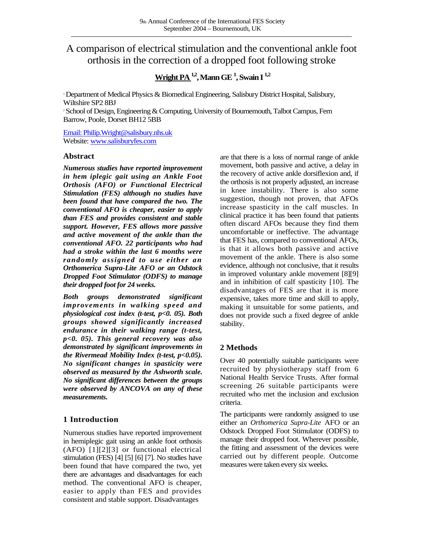# A comparison of electrical stimulation and the conventional ankle foot orthosis in the correction of a dropped foot following stroke

# **Wright PA1,2, Mann GE<sup>1</sup> , Swain I 1,2**

<sup>1</sup> Department of Medical Physics & Biomedical Engineering, Salisbury District Hospital, Salisbury, Wiltshire SP2 8BJ

<sup>2</sup> School of Design, Engineering & Computing, University of Bournemouth, Talbot Campus, Fern Barrow, Poole, Dorset BH12 5BB

[Email: Philip.Wright@salisbury.nhs.uk](mailto:Philip.Wright@salisbury.nhs.uk) Website: [www.salisburyfes.com](http://www.salisburyfes.com/)

#### **Abstract**

*Numerous studies have reported improvement in hem iplegic gait using an Ankle Foot Orthosis (AFO) or Functional Electrical Stimulation (FES) although no studies have been found that have compared the two. The conventional AFO is cheaper, easier to apply than FES and provides consistent and stable support. However, FES allows more passive and active movement of the ankle than the conventional AFO. 22 participants who had had a stroke within the last 6 months were randomly assigned to use either an Orthomerica Supra-Lite AFO or an Odstock Dropped Foot Stimulator (ODFS) to manage their dropped foot for 24 weeks.*

*Both groups demonstrated significant improvements in walking speed and physiological cost index (t-test, p<0. 05). Both groups showed significantly increased endurance in their walking range (t-test, p<0. 05). This general recovery was also demonstrated by significant improvements in the Rivermead Mobility Index (t-test, p<0.05). No significant changes in spasticity were observed as measured by the Ashworth scale. No significant differences between the groups were observed by ANCOVA on any of these measurements.*

### **1 Introduction**

Numerous studies have reported improvement in hemiplegic gait using an ankle foot orthosis (AFO) [1][2][3] or functional electrical stimulation (FES) [4] [5] [6] [7]. No studies have been found that have compared the two, yet there are advantages and disadvantages for each method. The conventional AFO is cheaper, easier to apply than FES and provides consistent and stable support. Disadvantages

are that there is a loss of normal range of ankle movement, both passive and active, a delay in the recovery of active ankle dorsiflexion and, if the orthosis is not properly adjusted, an increase in knee instability. There is also some suggestion, though not proven, that AFOs increase spasticity in the calf muscles. In clinical practice it has been found that patients often discard AFOs because they find them uncomfortable or ineffective. The advantage that FES has, compared to conventional AFOs, is that it allows both passive and active movement of the ankle. There is also some evidence, although not conclusive, that it results in improved voluntary ankle movement [8][9] and in inhibition of calf spasticity [10]. The disadvantages of FES are that it is more expensive, takes more time and skill to apply, making it unsuitable for some patients, and does not provide such a fixed degree of ankle stability.

## **2 Methods**

Over 40 potentially suitable participants were recruited by physiotherapy staff from 6 National Health Service Trusts. After formal screening 26 suitable participants were recruited who met the inclusion and exclusion criteria.

The participants were randomly assigned to use either an *Orthomerica Supra-Lite* AFO or an Odstock Dropped Foot Stimulator (ODFS) to manage their dropped foot. Wherever possible, the fitting and assessment of the devices were carried out by different people. Outcome measures were taken every six weeks.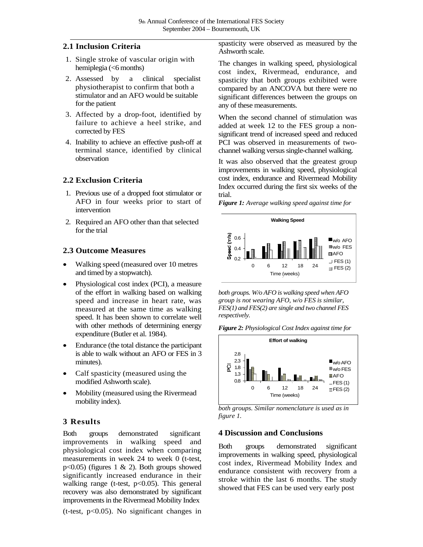### **2.1 Inclusion Criteria**

- 1. Single stroke of vascular origin with hemiplegia (<6 months)
- 2. Assessed by a clinical specialist physiotherapist to confirm that both a stimulator and an AFO would be suitable for the patient
- 3. Affected by a drop-foot, identified by failure to achieve a heel strike, and corrected by FES
- 4. Inability to achieve an effective push-off at terminal stance, identified by clinical observation

### **2.2 Exclusion Criteria**

- 1. Previous use of a dropped foot stimulator or AFO in four weeks prior to start of intervention
- 2. Required an AFO other than that selected for the trial

### **2.3 Outcome Measures**

- Walking speed (measured over 10 metres and timed by a stopwatch).
- Physiological cost index (PCI), a measure of the effort in walking based on walking speed and increase in heart rate, was measured at the same time as walking speed. It has been shown to correlate well with other methods of determining energy expenditure (Butler et al. 1984).
- Endurance (the total distance the participant is able to walk without an AFO or FES in 3 minutes).
- Calf spasticity (measured using the modified Ashworth scale).
- Mobility (measured using the Rivermead mobility index).

### **3 Results**

Both groups demonstrated significant improvements in walking speed and physiological cost index when comparing measurements in week 24 to week 0 (t-test, p<0.05) (figures 1 & 2). Both groups showed significantly increased endurance in their walking range (t-test,  $p<0.05$ ). This general recovery was also demonstrated by significant improvements in the Rivermead Mobility Index (t-test,  $p<0.05$ ). No significant changes in

spasticity were observed as measured by the Ashworth scale.

The changes in walking speed, physiological cost index, Rivermead, endurance, and spasticity that both groups exhibited were compared by an ANCOVA but there were no significant differences between the groups on any of these measurements.

When the second channel of stimulation was added at week 12 to the FES group a nonsignificant trend of increased speed and reduced PCI was observed in measurements of twochannel walking versus single-channel walking.

It was also observed that the greatest group improvements in walking speed, physiological cost index, endurance and Rivermead Mobility Index occurred during the first six weeks of the trial.

*Figure 1: Average walking speed against time for*



*both groups. W/o AFO is walking speed when AFO group is not wearing AFO, w/o FES is similar, FES(1) and FES(2) are single and two channel FES respectively.*





*both groups. Similar nomenclature is used as in figure 1.*

### **4 Discussion and Conclusions**

Both groups demonstrated significant improvements in walking speed, physiological cost index, Rivermead Mobility Index and endurance consistent with recovery from a stroke within the last 6 months. The study showed that FES can be used very early post